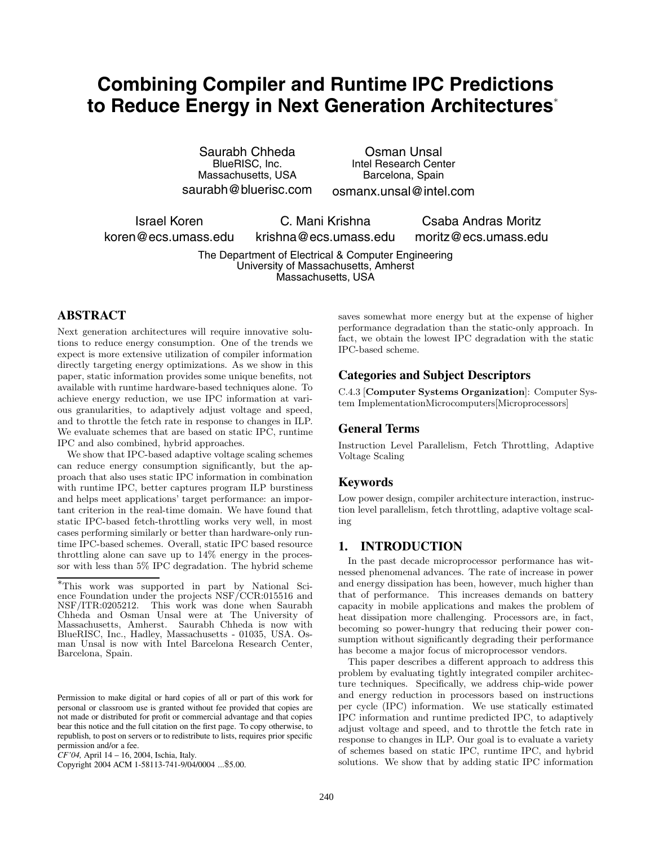# **Combining Compiler and Runtime IPC Predictions to Reduce Energy in Next Generation Architectures**<sup>∗</sup>

Saurabh Chheda BlueRISC, Inc. Massachusetts, USA saurabh@bluerisc.com

Osman Unsal Intel Research Center Barcelona, Spain osmanx.unsal@intel.com

Israel Koren koren@ecs.umass.edu

C. Mani Krishna krishna@ecs.umass.edu

Csaba Andras Moritz moritz@ecs.umass.edu

The Department of Electrical & Computer Engineering University of Massachusetts, Amherst Massachusetts, USA

## **ABSTRACT**

Next generation architectures will require innovative solutions to reduce energy consumption. One of the trends we expect is more extensive utilization of compiler information directly targeting energy optimizations. As we show in this paper, static information provides some unique benefits, not available with runtime hardware-based techniques alone. To achieve energy reduction, we use IPC information at various granularities, to adaptively adjust voltage and speed, and to throttle the fetch rate in response to changes in ILP. We evaluate schemes that are based on static IPC, runtime IPC and also combined, hybrid approaches.

We show that IPC-based adaptive voltage scaling schemes can reduce energy consumption significantly, but the approach that also uses static IPC information in combination with runtime IPC, better captures program ILP burstiness and helps meet applications' target performance: an important criterion in the real-time domain. We have found that static IPC-based fetch-throttling works very well, in most cases performing similarly or better than hardware-only runtime IPC-based schemes. Overall, static IPC based resource throttling alone can save up to 14% energy in the processor with less than 5% IPC degradation. The hybrid scheme

saves somewhat more energy but at the expense of higher performance degradation than the static-only approach. In fact, we obtain the lowest IPC degradation with the static IPC-based scheme.

### **Categories and Subject Descriptors**

C.4.3 [**Computer Systems Organization**]: Computer System ImplementationMicrocomputers[Microprocessors]

#### **General Terms**

Instruction Level Parallelism, Fetch Throttling, Adaptive Voltage Scaling

### **Keywords**

Low power design, compiler architecture interaction, instruction level parallelism, fetch throttling, adaptive voltage scaling

## **1. INTRODUCTION**

In the past decade microprocessor performance has witnessed phenomenal advances. The rate of increase in power and energy dissipation has been, however, much higher than that of performance. This increases demands on battery capacity in mobile applications and makes the problem of heat dissipation more challenging. Processors are, in fact, becoming so power-hungry that reducing their power consumption without significantly degrading their performance has become a major focus of microprocessor vendors.

This paper describes a different approach to address this problem by evaluating tightly integrated compiler architecture techniques. Specifically, we address chip-wide power and energy reduction in processors based on instructions per cycle (IPC) information. We use statically estimated IPC information and runtime predicted IPC, to adaptively adjust voltage and speed, and to throttle the fetch rate in response to changes in ILP. Our goal is to evaluate a variety of schemes based on static IPC, runtime IPC, and hybrid solutions. We show that by adding static IPC information

<sup>∗</sup>This work was supported in part by National Science Foundation under the projects NSF/CCR:015516 and NSF/ITR:0205212. This work was done when Saurabh Chheda and Osman Unsal were at The University of Massachusetts, Amherst. Saurabh Chheda is now with BlueRISC, Inc., Hadley, Massachusetts - 01035, USA. Osman Unsal is now with Intel Barcelona Research Center, Barcelona, Spain.

Permission to make digital or hard copies of all or part of this work for personal or classroom use is granted without fee provided that copies are not made or distributed for profit or commercial advantage and that copies bear this notice and the full citation on the first page. To copy otherwise, to republish, to post on servers or to redistribute to lists, requires prior specific permission and/or a fee.

*CF'04,* April 14 – 16, 2004, Ischia, Italy.

Copyright 2004 ACM 1-58113-741-9/04/0004 ...\$5.00.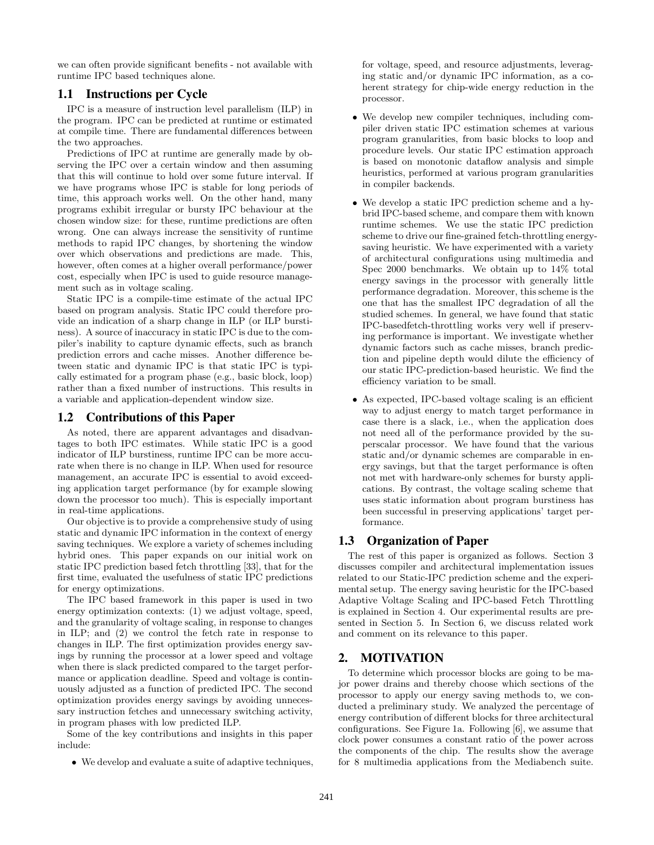we can often provide significant benefits - not available with runtime IPC based techniques alone.

## **1.1 Instructions per Cycle**

IPC is a measure of instruction level parallelism (ILP) in the program. IPC can be predicted at runtime or estimated at compile time. There are fundamental differences between the two approaches.

Predictions of IPC at runtime are generally made by observing the IPC over a certain window and then assuming that this will continue to hold over some future interval. If we have programs whose IPC is stable for long periods of time, this approach works well. On the other hand, many programs exhibit irregular or bursty IPC behaviour at the chosen window size: for these, runtime predictions are often wrong. One can always increase the sensitivity of runtime methods to rapid IPC changes, by shortening the window over which observations and predictions are made. This, however, often comes at a higher overall performance/power cost, especially when IPC is used to guide resource management such as in voltage scaling.

Static IPC is a compile-time estimate of the actual IPC based on program analysis. Static IPC could therefore provide an indication of a sharp change in ILP (or ILP burstiness). A source of inaccuracy in static IPC is due to the compiler's inability to capture dynamic effects, such as branch prediction errors and cache misses. Another difference between static and dynamic IPC is that static IPC is typically estimated for a program phase (e.g., basic block, loop) rather than a fixed number of instructions. This results in a variable and application-dependent window size.

## **1.2 Contributions of this Paper**

As noted, there are apparent advantages and disadvantages to both IPC estimates. While static IPC is a good indicator of ILP burstiness, runtime IPC can be more accurate when there is no change in ILP. When used for resource management, an accurate IPC is essential to avoid exceeding application target performance (by for example slowing down the processor too much). This is especially important in real-time applications.

Our objective is to provide a comprehensive study of using static and dynamic IPC information in the context of energy saving techniques. We explore a variety of schemes including hybrid ones. This paper expands on our initial work on static IPC prediction based fetch throttling [33], that for the first time, evaluated the usefulness of static IPC predictions for energy optimizations.

The IPC based framework in this paper is used in two energy optimization contexts: (1) we adjust voltage, speed, and the granularity of voltage scaling, in response to changes in ILP; and (2) we control the fetch rate in response to changes in ILP. The first optimization provides energy savings by running the processor at a lower speed and voltage when there is slack predicted compared to the target performance or application deadline. Speed and voltage is continuously adjusted as a function of predicted IPC. The second optimization provides energy savings by avoiding unnecessary instruction fetches and unnecessary switching activity, in program phases with low predicted ILP.

Some of the key contributions and insights in this paper include:

• We develop and evaluate a suite of adaptive techniques,

for voltage, speed, and resource adjustments, leveraging static and/or dynamic IPC information, as a coherent strategy for chip-wide energy reduction in the processor.

- We develop new compiler techniques, including compiler driven static IPC estimation schemes at various program granularities, from basic blocks to loop and procedure levels. Our static IPC estimation approach is based on monotonic dataflow analysis and simple heuristics, performed at various program granularities in compiler backends.
- We develop a static IPC prediction scheme and a hybrid IPC-based scheme, and compare them with known runtime schemes. We use the static IPC prediction scheme to drive our fine-grained fetch-throttling energysaving heuristic. We have experimented with a variety of architectural configurations using multimedia and Spec 2000 benchmarks. We obtain up to 14% total energy savings in the processor with generally little performance degradation. Moreover, this scheme is the one that has the smallest IPC degradation of all the studied schemes. In general, we have found that static IPC-basedfetch-throttling works very well if preserving performance is important. We investigate whether dynamic factors such as cache misses, branch prediction and pipeline depth would dilute the efficiency of our static IPC-prediction-based heuristic. We find the efficiency variation to be small.
- As expected, IPC-based voltage scaling is an efficient way to adjust energy to match target performance in case there is a slack, i.e., when the application does not need all of the performance provided by the superscalar processor. We have found that the various static and/or dynamic schemes are comparable in energy savings, but that the target performance is often not met with hardware-only schemes for bursty applications. By contrast, the voltage scaling scheme that uses static information about program burstiness has been successful in preserving applications' target performance.

# **1.3 Organization of Paper**

The rest of this paper is organized as follows. Section 3 discusses compiler and architectural implementation issues related to our Static-IPC prediction scheme and the experimental setup. The energy saving heuristic for the IPC-based Adaptive Voltage Scaling and IPC-based Fetch Throttling is explained in Section 4. Our experimental results are presented in Section 5. In Section 6, we discuss related work and comment on its relevance to this paper.

# **2. MOTIVATION**

To determine which processor blocks are going to be major power drains and thereby choose which sections of the processor to apply our energy saving methods to, we conducted a preliminary study. We analyzed the percentage of energy contribution of different blocks for three architectural configurations. See Figure 1a. Following [6], we assume that clock power consumes a constant ratio of the power across the components of the chip. The results show the average for 8 multimedia applications from the Mediabench suite.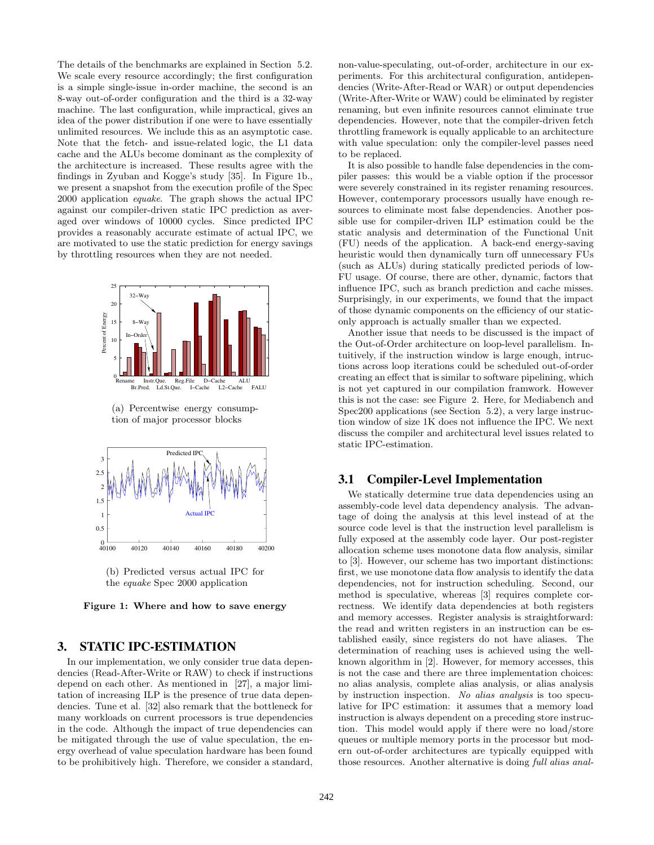The details of the benchmarks are explained in Section 5.2. We scale every resource accordingly; the first configuration is a simple single-issue in-order machine, the second is an 8-way out-of-order configuration and the third is a 32-way machine. The last configuration, while impractical, gives an idea of the power distribution if one were to have essentially unlimited resources. We include this as an asymptotic case. Note that the fetch- and issue-related logic, the L1 data cache and the ALUs become dominant as the complexity of the architecture is increased. These results agree with the findings in Zyuban and Kogge's study [35]. In Figure 1b., we present a snapshot from the execution profile of the Spec 2000 application equake. The graph shows the actual IPC against our compiler-driven static IPC prediction as averaged over windows of 10000 cycles. Since predicted IPC provides a reasonably accurate estimate of actual IPC, we are motivated to use the static prediction for energy savings by throttling resources when they are not needed.



(a) Percentwise energy consumption of major processor blocks



(b) Predicted versus actual IPC for the equake Spec 2000 application

**Figure 1: Where and how to save energy**

## **3. STATIC IPC-ESTIMATION**

In our implementation, we only consider true data dependencies (Read-After-Write or RAW) to check if instructions depend on each other. As mentioned in [27], a major limitation of increasing ILP is the presence of true data dependencies. Tune et al. [32] also remark that the bottleneck for many workloads on current processors is true dependencies in the code. Although the impact of true dependencies can be mitigated through the use of value speculation, the energy overhead of value speculation hardware has been found to be prohibitively high. Therefore, we consider a standard, non-value-speculating, out-of-order, architecture in our experiments. For this architectural configuration, antidependencies (Write-After-Read or WAR) or output dependencies (Write-After-Write or WAW) could be eliminated by register renaming, but even infinite resources cannot eliminate true dependencies. However, note that the compiler-driven fetch throttling framework is equally applicable to an architecture with value speculation: only the compiler-level passes need to be replaced.

It is also possible to handle false dependencies in the compiler passes: this would be a viable option if the processor were severely constrained in its register renaming resources. However, contemporary processors usually have enough resources to eliminate most false dependencies. Another possible use for compiler-driven ILP estimation could be the static analysis and determination of the Functional Unit (FU) needs of the application. A back-end energy-saving heuristic would then dynamically turn off unnecessary FUs (such as ALUs) during statically predicted periods of low-FU usage. Of course, there are other, dynamic, factors that influence IPC, such as branch prediction and cache misses. Surprisingly, in our experiments, we found that the impact of those dynamic components on the efficiency of our staticonly approach is actually smaller than we expected.

Another issue that needs to be discussed is the impact of the Out-of-Order architecture on loop-level parallelism. Intuitively, if the instruction window is large enough, intructions across loop iterations could be scheduled out-of-order creating an effect that is similar to software pipelining, which is not yet captured in our compilation framwork. However this is not the case: see Figure 2. Here, for Mediabench and Spec200 applications (see Section 5.2), a very large instruction window of size 1K does not influence the IPC. We next discuss the compiler and architectural level issues related to static IPC-estimation.

#### **3.1 Compiler-Level Implementation**

We statically determine true data dependencies using an assembly-code level data dependency analysis. The advantage of doing the analysis at this level instead of at the source code level is that the instruction level parallelism is fully exposed at the assembly code layer. Our post-register allocation scheme uses monotone data flow analysis, similar to [3]. However, our scheme has two important distinctions: first, we use monotone data flow analysis to identify the data dependencies, not for instruction scheduling. Second, our method is speculative, whereas [3] requires complete correctness. We identify data dependencies at both registers and memory accesses. Register analysis is straightforward: the read and written registers in an instruction can be established easily, since registers do not have aliases. The determination of reaching uses is achieved using the wellknown algorithm in [2]. However, for memory accesses, this is not the case and there are three implementation choices: no alias analysis, complete alias analysis, or alias analysis by instruction inspection. No alias analysis is too speculative for IPC estimation: it assumes that a memory load instruction is always dependent on a preceding store instruction. This model would apply if there were no load/store queues or multiple memory ports in the processor but modern out-of-order architectures are typically equipped with those resources. Another alternative is doing full alias anal-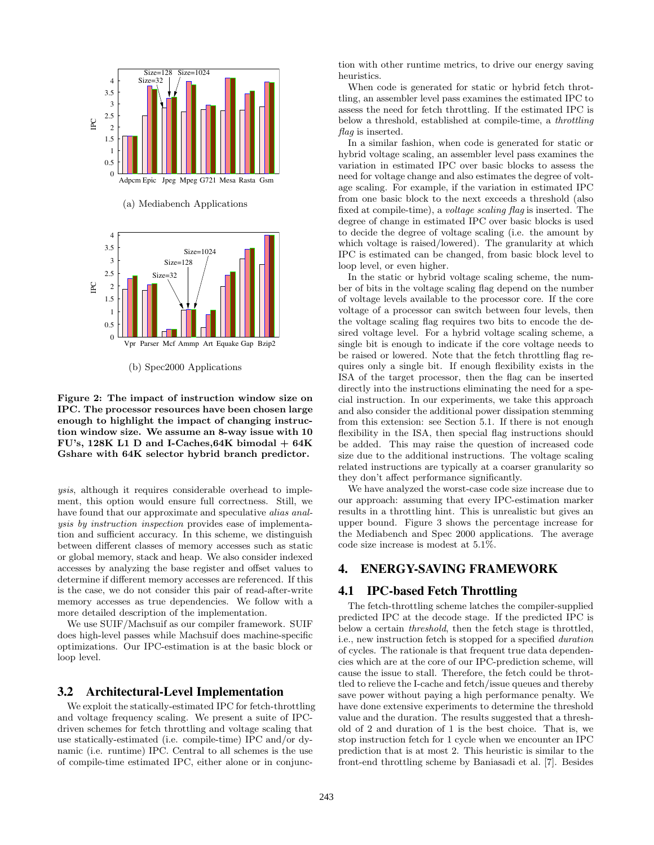

(b) Spec2000 Applications

**Figure 2: The impact of instruction window size on IPC. The processor resources have been chosen large enough to highlight the impact of changing instruction window size. We assume an 8-way issue with 10 FU's, 128K L1 D and I-Caches,64K bimodal + 64K Gshare with 64K selector hybrid branch predictor.**

ysis, although it requires considerable overhead to implement, this option would ensure full correctness. Still, we have found that our approximate and speculative *alias anal*ysis by instruction inspection provides ease of implementation and sufficient accuracy. In this scheme, we distinguish between different classes of memory accesses such as static or global memory, stack and heap. We also consider indexed accesses by analyzing the base register and offset values to determine if different memory accesses are referenced. If this is the case, we do not consider this pair of read-after-write memory accesses as true dependencies. We follow with a more detailed description of the implementation.

We use SUIF/Machsuif as our compiler framework. SUIF does high-level passes while Machsuif does machine-specific optimizations. Our IPC-estimation is at the basic block or loop level.

#### **3.2 Architectural-Level Implementation**

We exploit the statically-estimated IPC for fetch-throttling and voltage frequency scaling. We present a suite of IPCdriven schemes for fetch throttling and voltage scaling that use statically-estimated (i.e. compile-time) IPC and/or dynamic (i.e. runtime) IPC. Central to all schemes is the use of compile-time estimated IPC, either alone or in conjunction with other runtime metrics, to drive our energy saving heuristics.

When code is generated for static or hybrid fetch throttling, an assembler level pass examines the estimated IPC to assess the need for fetch throttling. If the estimated IPC is below a threshold, established at compile-time, a throttling flag is inserted.

In a similar fashion, when code is generated for static or hybrid voltage scaling, an assembler level pass examines the variation in estimated IPC over basic blocks to assess the need for voltage change and also estimates the degree of voltage scaling. For example, if the variation in estimated IPC from one basic block to the next exceeds a threshold (also fixed at compile-time), a voltage scaling flag is inserted. The degree of change in estimated IPC over basic blocks is used to decide the degree of voltage scaling (i.e. the amount by which voltage is raised/lowered). The granularity at which IPC is estimated can be changed, from basic block level to loop level, or even higher.

In the static or hybrid voltage scaling scheme, the number of bits in the voltage scaling flag depend on the number of voltage levels available to the processor core. If the core voltage of a processor can switch between four levels, then the voltage scaling flag requires two bits to encode the desired voltage level. For a hybrid voltage scaling scheme, a single bit is enough to indicate if the core voltage needs to be raised or lowered. Note that the fetch throttling flag requires only a single bit. If enough flexibility exists in the ISA of the target processor, then the flag can be inserted directly into the instructions eliminating the need for a special instruction. In our experiments, we take this approach and also consider the additional power dissipation stemming from this extension: see Section 5.1. If there is not enough flexibility in the ISA, then special flag instructions should be added. This may raise the question of increased code size due to the additional instructions. The voltage scaling related instructions are typically at a coarser granularity so they don't affect performance significantly.

We have analyzed the worst-case code size increase due to our approach: assuming that every IPC-estimation marker results in a throttling hint. This is unrealistic but gives an upper bound. Figure 3 shows the percentage increase for the Mediabench and Spec 2000 applications. The average code size increase is modest at 5.1%.

## **4. ENERGY-SAVING FRAMEWORK**

#### **4.1 IPC-based Fetch Throttling**

The fetch-throttling scheme latches the compiler-supplied predicted IPC at the decode stage. If the predicted IPC is below a certain threshold, then the fetch stage is throttled, i.e., new instruction fetch is stopped for a specified duration of cycles. The rationale is that frequent true data dependencies which are at the core of our IPC-prediction scheme, will cause the issue to stall. Therefore, the fetch could be throttled to relieve the I-cache and fetch/issue queues and thereby save power without paying a high performance penalty. We have done extensive experiments to determine the threshold value and the duration. The results suggested that a threshold of 2 and duration of 1 is the best choice. That is, we stop instruction fetch for 1 cycle when we encounter an IPC prediction that is at most 2. This heuristic is similar to the front-end throttling scheme by Baniasadi et al. [7]. Besides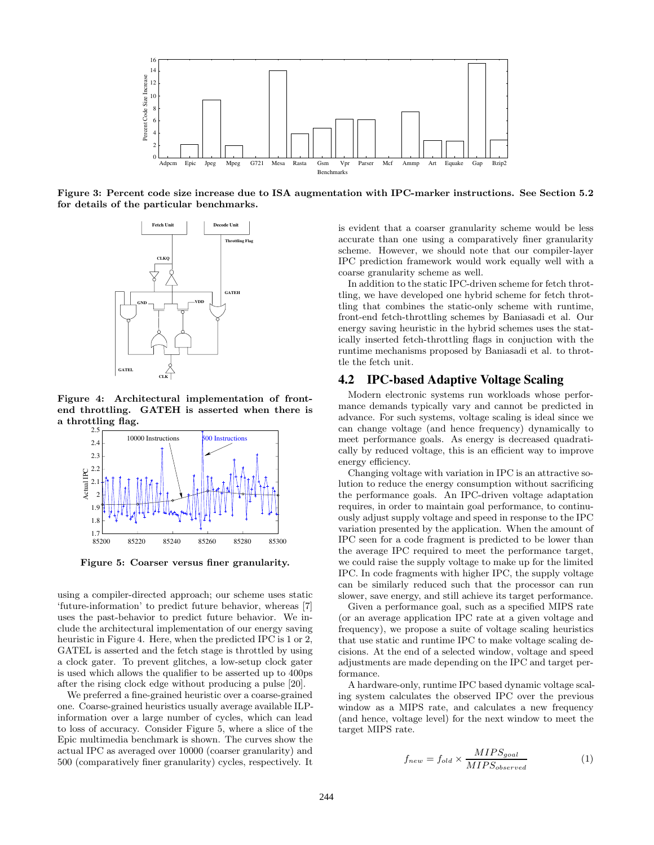

**Figure 3: Percent code size increase due to ISA augmentation with IPC-marker instructions. See Section 5.2 for details of the particular benchmarks.**



**Figure 4: Architectural implementation of frontend throttling. GATEH is asserted when there is a throttling flag.**



**Figure 5: Coarser versus finer granularity.**

using a compiler-directed approach; our scheme uses static 'future-information' to predict future behavior, whereas [7] uses the past-behavior to predict future behavior. We include the architectural implementation of our energy saving heuristic in Figure 4. Here, when the predicted IPC is 1 or 2, GATEL is asserted and the fetch stage is throttled by using a clock gater. To prevent glitches, a low-setup clock gater is used which allows the qualifier to be asserted up to 400ps after the rising clock edge without producing a pulse [20].

We preferred a fine-grained heuristic over a coarse-grained one. Coarse-grained heuristics usually average available ILPinformation over a large number of cycles, which can lead to loss of accuracy. Consider Figure 5, where a slice of the Epic multimedia benchmark is shown. The curves show the actual IPC as averaged over 10000 (coarser granularity) and 500 (comparatively finer granularity) cycles, respectively. It

is evident that a coarser granularity scheme would be less accurate than one using a comparatively finer granularity scheme. However, we should note that our compiler-layer IPC prediction framework would work equally well with a coarse granularity scheme as well.

In addition to the static IPC-driven scheme for fetch throttling, we have developed one hybrid scheme for fetch throttling that combines the static-only scheme with runtime, front-end fetch-throttling schemes by Baniasadi et al. Our energy saving heuristic in the hybrid schemes uses the statically inserted fetch-throttling flags in conjuction with the runtime mechanisms proposed by Baniasadi et al. to throttle the fetch unit.

#### **4.2 IPC-based Adaptive Voltage Scaling**

Modern electronic systems run workloads whose performance demands typically vary and cannot be predicted in advance. For such systems, voltage scaling is ideal since we can change voltage (and hence frequency) dynamically to meet performance goals. As energy is decreased quadratically by reduced voltage, this is an efficient way to improve energy efficiency.

Changing voltage with variation in IPC is an attractive solution to reduce the energy consumption without sacrificing the performance goals. An IPC-driven voltage adaptation requires, in order to maintain goal performance, to continuously adjust supply voltage and speed in response to the IPC variation presented by the application. When the amount of IPC seen for a code fragment is predicted to be lower than the average IPC required to meet the performance target, we could raise the supply voltage to make up for the limited IPC. In code fragments with higher IPC, the supply voltage can be similarly reduced such that the processor can run slower, save energy, and still achieve its target performance.

Given a performance goal, such as a specified MIPS rate (or an average application IPC rate at a given voltage and frequency), we propose a suite of voltage scaling heuristics that use static and runtime IPC to make voltage scaling decisions. At the end of a selected window, voltage and speed adjustments are made depending on the IPC and target performance.

A hardware-only, runtime IPC based dynamic voltage scaling system calculates the observed IPC over the previous window as a MIPS rate, and calculates a new frequency (and hence, voltage level) for the next window to meet the target MIPS rate.

$$
f_{new} = f_{old} \times \frac{MIPS_{goal}}{MIPS_{observed}} \tag{1}
$$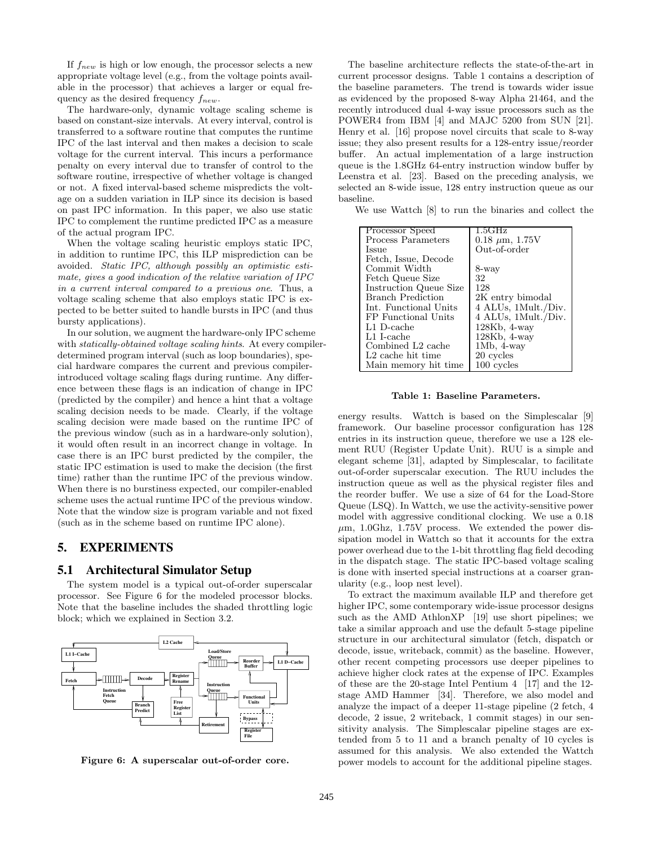If *fnew* is high or low enough, the processor selects a new appropriate voltage level (e.g., from the voltage points available in the processor) that achieves a larger or equal frequency as the desired frequency *fnew*.

The hardware-only, dynamic voltage scaling scheme is based on constant-size intervals. At every interval, control is transferred to a software routine that computes the runtime IPC of the last interval and then makes a decision to scale voltage for the current interval. This incurs a performance penalty on every interval due to transfer of control to the software routine, irrespective of whether voltage is changed or not. A fixed interval-based scheme mispredicts the voltage on a sudden variation in ILP since its decision is based on past IPC information. In this paper, we also use static IPC to complement the runtime predicted IPC as a measure of the actual program IPC.

When the voltage scaling heuristic employs static IPC, in addition to runtime IPC, this ILP misprediction can be avoided. Static IPC, although possibly an optimistic estimate, gives a good indication of the relative variation of IPC in a current interval compared to a previous one. Thus, a voltage scaling scheme that also employs static IPC is expected to be better suited to handle bursts in IPC (and thus bursty applications).

In our solution, we augment the hardware-only IPC scheme with *statically-obtained voltage scaling hints*. At every compilerdetermined program interval (such as loop boundaries), special hardware compares the current and previous compilerintroduced voltage scaling flags during runtime. Any difference between these flags is an indication of change in IPC (predicted by the compiler) and hence a hint that a voltage scaling decision needs to be made. Clearly, if the voltage scaling decision were made based on the runtime IPC of the previous window (such as in a hardware-only solution), it would often result in an incorrect change in voltage. In case there is an IPC burst predicted by the compiler, the static IPC estimation is used to make the decision (the first time) rather than the runtime IPC of the previous window. When there is no burstiness expected, our compiler-enabled scheme uses the actual runtime IPC of the previous window. Note that the window size is program variable and not fixed (such as in the scheme based on runtime IPC alone).

## **5. EXPERIMENTS**

#### **5.1 Architectural Simulator Setup**

The system model is a typical out-of-order superscalar processor. See Figure 6 for the modeled processor blocks. Note that the baseline includes the shaded throttling logic block; which we explained in Section 3.2.



**Figure 6: A superscalar out-of-order core.**

The baseline architecture reflects the state-of-the-art in current processor designs. Table 1 contains a description of the baseline parameters. The trend is towards wider issue as evidenced by the proposed 8-way Alpha 21464, and the recently introduced dual 4-way issue processors such as the POWER4 from IBM [4] and MAJC 5200 from SUN [21]. Henry et al. [16] propose novel circuits that scale to 8-way issue; they also present results for a 128-entry issue/reorder buffer. An actual implementation of a large instruction queue is the 1.8GHz 64-entry instruction window buffer by Leenstra et al. [23]. Based on the preceding analysis, we selected an 8-wide issue, 128 entry instruction queue as our baseline.

We use Wattch [8] to run the binaries and collect the

| Processor Speed               | 1.5GHz              |
|-------------------------------|---------------------|
| Process Parameters            | $0.18 \mu m, 1.75V$ |
| Issue                         | Out-of-order        |
| Fetch, Issue, Decode          |                     |
| Commit Width                  | 8-way               |
| Fetch Queue Size              | 32                  |
| Instruction Queue Size        | 128                 |
| Branch Prediction             | 2K entry bimodal    |
| Int. Functional Units         | 4 ALUs, 1Mult./Div. |
| FP Functional Units           | 4 ALUs, 1Mult./Div. |
| L1 D-cache                    | $128Kb$ , 4-way     |
| L1 L-cache                    | 128Kb, 4-way        |
| Combined L2 cache             | $1Mb, 4-way$        |
| L <sub>2</sub> cache hit time | 20 cycles           |
| Main memory hit time          | 100 cycles          |

#### **Table 1: Baseline Parameters.**

energy results. Wattch is based on the Simplescalar [9] framework. Our baseline processor configuration has 128 entries in its instruction queue, therefore we use a 128 element RUU (Register Update Unit). RUU is a simple and elegant scheme [31], adapted by Simplescalar, to facilitate out-of-order superscalar execution. The RUU includes the instruction queue as well as the physical register files and the reorder buffer. We use a size of 64 for the Load-Store Queue (LSQ). In Wattch, we use the activity-sensitive power model with aggressive conditional clocking. We use a 0.18 *µ*m, 1.0Ghz, 1.75V process. We extended the power dissipation model in Wattch so that it accounts for the extra power overhead due to the 1-bit throttling flag field decoding in the dispatch stage. The static IPC-based voltage scaling is done with inserted special instructions at a coarser granularity (e.g., loop nest level).

To extract the maximum available ILP and therefore get higher IPC, some contemporary wide-issue processor designs such as the AMD AthlonXP [19] use short pipelines; we take a similar approach and use the default 5-stage pipeline structure in our architectural simulator (fetch, dispatch or decode, issue, writeback, commit) as the baseline. However, other recent competing processors use deeper pipelines to achieve higher clock rates at the expense of IPC. Examples of these are the 20-stage Intel Pentium 4 [17] and the 12 stage AMD Hammer [34]. Therefore, we also model and analyze the impact of a deeper 11-stage pipeline (2 fetch, 4 decode, 2 issue, 2 writeback, 1 commit stages) in our sensitivity analysis. The Simplescalar pipeline stages are extended from 5 to 11 and a branch penalty of 10 cycles is assumed for this analysis. We also extended the Wattch power models to account for the additional pipeline stages.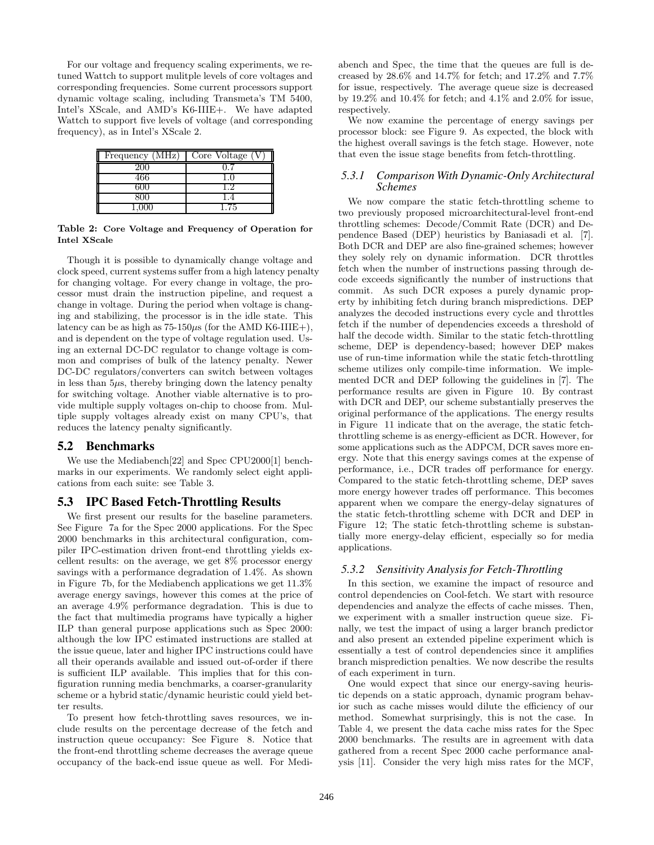For our voltage and frequency scaling experiments, we retuned Wattch to support mulitple levels of core voltages and corresponding frequencies. Some current processors support dynamic voltage scaling, including Transmeta's TM 5400, Intel's XScale, and AMD's K6-IIIE+. We have adapted Wattch to support five levels of voltage (and corresponding frequency), as in Intel's XScale 2.

| Frequency (MHz) | Core Voltage |
|-----------------|--------------|
| .               |              |
| 466             |              |
|                 |              |
|                 |              |
|                 | $\sqrt{2}$   |

**Table 2: Core Voltage and Frequency of Operation for Intel XScale**

Though it is possible to dynamically change voltage and clock speed, current systems suffer from a high latency penalty for changing voltage. For every change in voltage, the processor must drain the instruction pipeline, and request a change in voltage. During the period when voltage is changing and stabilizing, the processor is in the idle state. This latency can be as high as  $75-150\mu s$  (for the AMD K6-IIIE+), and is dependent on the type of voltage regulation used. Using an external DC-DC regulator to change voltage is common and comprises of bulk of the latency penalty. Newer DC-DC regulators/converters can switch between voltages in less than 5*µ*s, thereby bringing down the latency penalty for switching voltage. Another viable alternative is to provide multiple supply voltages on-chip to choose from. Multiple supply voltages already exist on many CPU's, that reduces the latency penalty significantly.

## **5.2 Benchmarks**

We use the Mediabench[22] and Spec CPU2000[1] benchmarks in our experiments. We randomly select eight applications from each suite: see Table 3.

## **5.3 IPC Based Fetch-Throttling Results**

We first present our results for the baseline parameters. See Figure 7a for the Spec 2000 applications. For the Spec 2000 benchmarks in this architectural configuration, compiler IPC-estimation driven front-end throttling yields excellent results: on the average, we get 8% processor energy savings with a performance degradation of 1.4%. As shown in Figure 7b, for the Mediabench applications we get 11.3% average energy savings, however this comes at the price of an average 4.9% performance degradation. This is due to the fact that multimedia programs have typically a higher ILP than general purpose applications such as Spec 2000: although the low IPC estimated instructions are stalled at the issue queue, later and higher IPC instructions could have all their operands available and issued out-of-order if there is sufficient ILP available. This implies that for this configuration running media benchmarks, a coarser-granularity scheme or a hybrid static/dynamic heuristic could yield better results.

To present how fetch-throttling saves resources, we include results on the percentage decrease of the fetch and instruction queue occupancy: See Figure 8. Notice that the front-end throttling scheme decreases the average queue occupancy of the back-end issue queue as well. For Mediabench and Spec, the time that the queues are full is decreased by 28.6% and 14.7% for fetch; and 17.2% and 7.7% for issue, respectively. The average queue size is decreased by 19.2% and 10.4% for fetch; and 4.1% and 2.0% for issue, respectively.

We now examine the percentage of energy savings per processor block: see Figure 9. As expected, the block with the highest overall savings is the fetch stage. However, note that even the issue stage benefits from fetch-throttling.

#### *5.3.1 Comparison With Dynamic-Only Architectural Schemes*

We now compare the static fetch-throttling scheme to two previously proposed microarchitectural-level front-end throttling schemes: Decode/Commit Rate (DCR) and Dependence Based (DEP) heuristics by Baniasadi et al. [7]. Both DCR and DEP are also fine-grained schemes; however they solely rely on dynamic information. DCR throttles fetch when the number of instructions passing through decode exceeds significantly the number of instructions that commit. As such DCR exposes a purely dynamic property by inhibiting fetch during branch mispredictions. DEP analyzes the decoded instructions every cycle and throttles fetch if the number of dependencies exceeds a threshold of half the decode width. Similar to the static fetch-throttling scheme, DEP is dependency-based; however DEP makes use of run-time information while the static fetch-throttling scheme utilizes only compile-time information. We implemented DCR and DEP following the guidelines in [7]. The performance results are given in Figure 10. By contrast with DCR and DEP, our scheme substantially preserves the original performance of the applications. The energy results in Figure 11 indicate that on the average, the static fetchthrottling scheme is as energy-efficient as DCR. However, for some applications such as the ADPCM, DCR saves more energy. Note that this energy savings comes at the expense of performance, i.e., DCR trades off performance for energy. Compared to the static fetch-throttling scheme, DEP saves more energy however trades off performance. This becomes apparent when we compare the energy-delay signatures of the static fetch-throttling scheme with DCR and DEP in Figure 12; The static fetch-throttling scheme is substantially more energy-delay efficient, especially so for media applications.

#### *5.3.2 Sensitivity Analysis for Fetch-Throttling*

In this section, we examine the impact of resource and control dependencies on Cool-fetch. We start with resource dependencies and analyze the effects of cache misses. Then, we experiment with a smaller instruction queue size. Finally, we test the impact of using a larger branch predictor and also present an extended pipeline experiment which is essentially a test of control dependencies since it amplifies branch misprediction penalties. We now describe the results of each experiment in turn.

One would expect that since our energy-saving heuristic depends on a static approach, dynamic program behavior such as cache misses would dilute the efficiency of our method. Somewhat surprisingly, this is not the case. In Table 4, we present the data cache miss rates for the Spec 2000 benchmarks. The results are in agreement with data gathered from a recent Spec 2000 cache performance analysis [11]. Consider the very high miss rates for the MCF,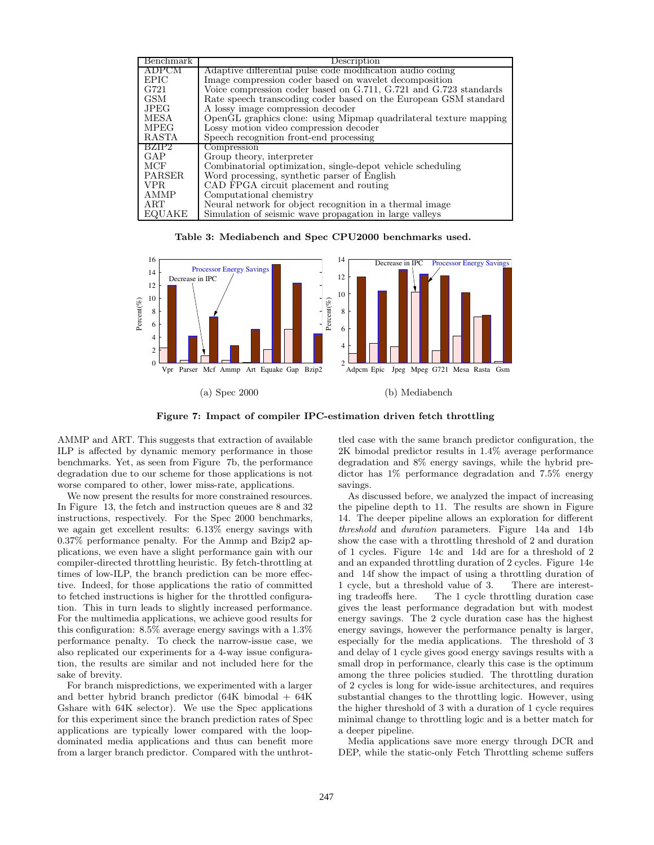| <b>Benchmark</b> | Description                                                       |
|------------------|-------------------------------------------------------------------|
| ADPCM            | Adaptive differential pulse code modification audio coding        |
| <b>EPIC</b>      | Image compression coder based on wavelet decomposition            |
| G721             | Voice compression coder based on G.711, G.721 and G.723 standards |
| <b>GSM</b>       | Rate speech transcoding coder based on the European GSM standard  |
| <b>JPEG</b>      | A lossy image compression decoder                                 |
| <b>MESA</b>      | OpenGL graphics clone: using Mipmap quadrilateral texture mapping |
| <b>MPEG</b>      | Lossy motion video compression decoder                            |
| RASTA            | Speech recognition front-end processing                           |
| BZIP2            | Compression                                                       |
| GAP              | Group theory, interpreter                                         |
| MCF              | Combinatorial optimization, single-depot vehicle scheduling       |
| PARSER           | Word processing, synthetic parser of English                      |
| VPR.             | CAD FPGA circuit placement and routing                            |
| AMMP             | Computational chemistry                                           |
| ART              | Neural network for object recognition in a thermal image          |
| EQUAKE           | Simulation of seismic wave propagation in large valleys           |

**Table 3: Mediabench and Spec CPU2000 benchmarks used.**



**Figure 7: Impact of compiler IPC-estimation driven fetch throttling**

AMMP and ART. This suggests that extraction of available ILP is affected by dynamic memory performance in those benchmarks. Yet, as seen from Figure 7b, the performance degradation due to our scheme for those applications is not worse compared to other, lower miss-rate, applications.

We now present the results for more constrained resources. In Figure 13, the fetch and instruction queues are 8 and 32 instructions, respectively. For the Spec 2000 benchmarks, we again get excellent results: 6.13% energy savings with 0.37% performance penalty. For the Ammp and Bzip2 applications, we even have a slight performance gain with our compiler-directed throttling heuristic. By fetch-throttling at times of low-ILP, the branch prediction can be more effective. Indeed, for those applications the ratio of committed to fetched instructions is higher for the throttled configuration. This in turn leads to slightly increased performance. For the multimedia applications, we achieve good results for this configuration: 8.5% average energy savings with a 1.3% performance penalty. To check the narrow-issue case, we also replicated our experiments for a 4-way issue configuration, the results are similar and not included here for the sake of brevity.

For branch mispredictions, we experimented with a larger and better hybrid branch predictor (64K bimodal + 64K Gshare with 64K selector). We use the Spec applications for this experiment since the branch prediction rates of Spec applications are typically lower compared with the loopdominated media applications and thus can benefit more from a larger branch predictor. Compared with the unthrottled case with the same branch predictor configuration, the 2K bimodal predictor results in 1.4% average performance degradation and 8% energy savings, while the hybrid predictor has 1% performance degradation and 7.5% energy savings.

As discussed before, we analyzed the impact of increasing the pipeline depth to 11. The results are shown in Figure 14. The deeper pipeline allows an exploration for different threshold and duration parameters. Figure 14a and 14b show the case with a throttling threshold of 2 and duration of 1 cycles. Figure 14c and 14d are for a threshold of 2 and an expanded throttling duration of 2 cycles. Figure 14e and 14f show the impact of using a throttling duration of 1 cycle, but a threshold value of 3. There are interesting tradeoffs here. The 1 cycle throttling duration case gives the least performance degradation but with modest energy savings. The 2 cycle duration case has the highest energy savings, however the performance penalty is larger, especially for the media applications. The threshold of 3 and delay of 1 cycle gives good energy savings results with a small drop in performance, clearly this case is the optimum among the three policies studied. The throttling duration of 2 cycles is long for wide-issue architectures, and requires substantial changes to the throttling logic. However, using the higher threshold of 3 with a duration of 1 cycle requires minimal change to throttling logic and is a better match for a deeper pipeline.

Media applications save more energy through DCR and DEP, while the static-only Fetch Throttling scheme suffers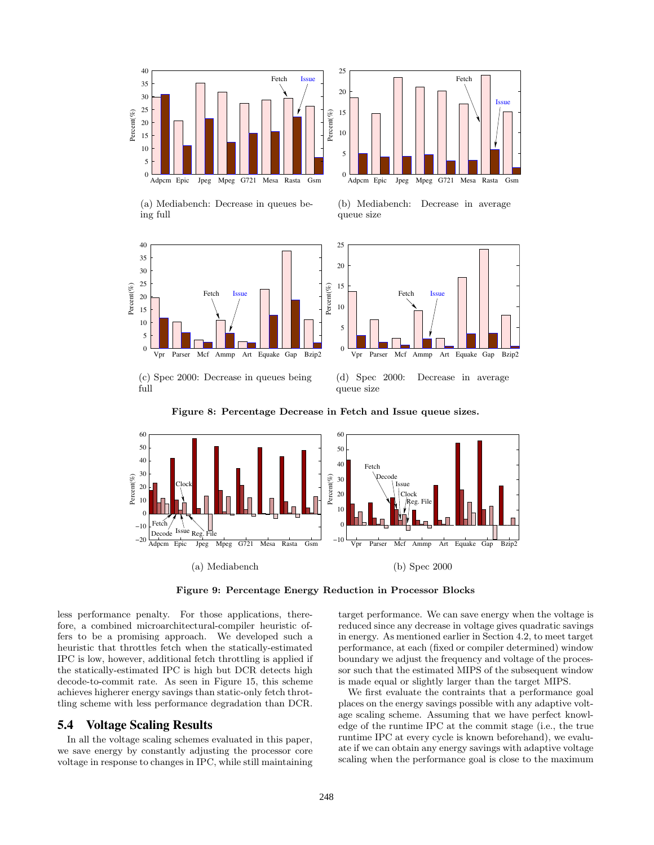

25 Fetch 20 Issue 15 Percent(%) Percent(%) 10 5 0 Adpcm Epic Jpeg Mpeg G721 Mesa Rasta Gsm

(a) Mediabench: Decrease in queues being full



(c) Spec 2000: Decrease in queues being full





(d) Spec 2000: Decrease in average queue size

**Figure 8: Percentage Decrease in Fetch and Issue queue sizes.**



**Figure 9: Percentage Energy Reduction in Processor Blocks**

less performance penalty. For those applications, therefore, a combined microarchitectural-compiler heuristic offers to be a promising approach. We developed such a heuristic that throttles fetch when the statically-estimated IPC is low, however, additional fetch throttling is applied if the statically-estimated IPC is high but DCR detects high decode-to-commit rate. As seen in Figure 15, this scheme achieves higherer energy savings than static-only fetch throttling scheme with less performance degradation than DCR.

#### **5.4 Voltage Scaling Results**

In all the voltage scaling schemes evaluated in this paper, we save energy by constantly adjusting the processor core voltage in response to changes in IPC, while still maintaining target performance. We can save energy when the voltage is reduced since any decrease in voltage gives quadratic savings in energy. As mentioned earlier in Section 4.2, to meet target performance, at each (fixed or compiler determined) window boundary we adjust the frequency and voltage of the processor such that the estimated MIPS of the subsequent window is made equal or slightly larger than the target MIPS.

We first evaluate the contraints that a performance goal places on the energy savings possible with any adaptive voltage scaling scheme. Assuming that we have perfect knowledge of the runtime IPC at the commit stage (i.e., the true runtime IPC at every cycle is known beforehand), we evaluate if we can obtain any energy savings with adaptive voltage scaling when the performance goal is close to the maximum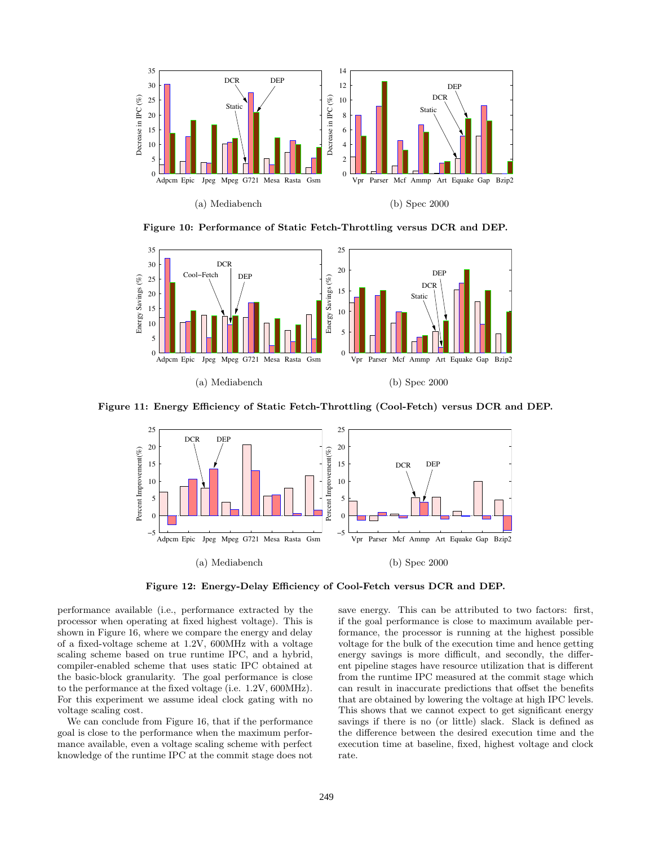

**Figure 10: Performance of Static Fetch-Throttling versus DCR and DEP.**



**Figure 11: Energy Efficiency of Static Fetch-Throttling (Cool-Fetch) versus DCR and DEP.**



**Figure 12: Energy-Delay Efficiency of Cool-Fetch versus DCR and DEP.**

performance available (i.e., performance extracted by the processor when operating at fixed highest voltage). This is shown in Figure 16, where we compare the energy and delay of a fixed-voltage scheme at 1.2V, 600MHz with a voltage scaling scheme based on true runtime IPC, and a hybrid, compiler-enabled scheme that uses static IPC obtained at the basic-block granularity. The goal performance is close to the performance at the fixed voltage (i.e. 1.2V, 600MHz). For this experiment we assume ideal clock gating with no voltage scaling cost.

We can conclude from Figure 16, that if the performance goal is close to the performance when the maximum performance available, even a voltage scaling scheme with perfect knowledge of the runtime IPC at the commit stage does not

save energy. This can be attributed to two factors: first, if the goal performance is close to maximum available performance, the processor is running at the highest possible voltage for the bulk of the execution time and hence getting energy savings is more difficult, and secondly, the different pipeline stages have resource utilization that is different from the runtime IPC measured at the commit stage which can result in inaccurate predictions that offset the benefits that are obtained by lowering the voltage at high IPC levels. This shows that we cannot expect to get significant energy savings if there is no (or little) slack. Slack is defined as the difference between the desired execution time and the execution time at baseline, fixed, highest voltage and clock rate.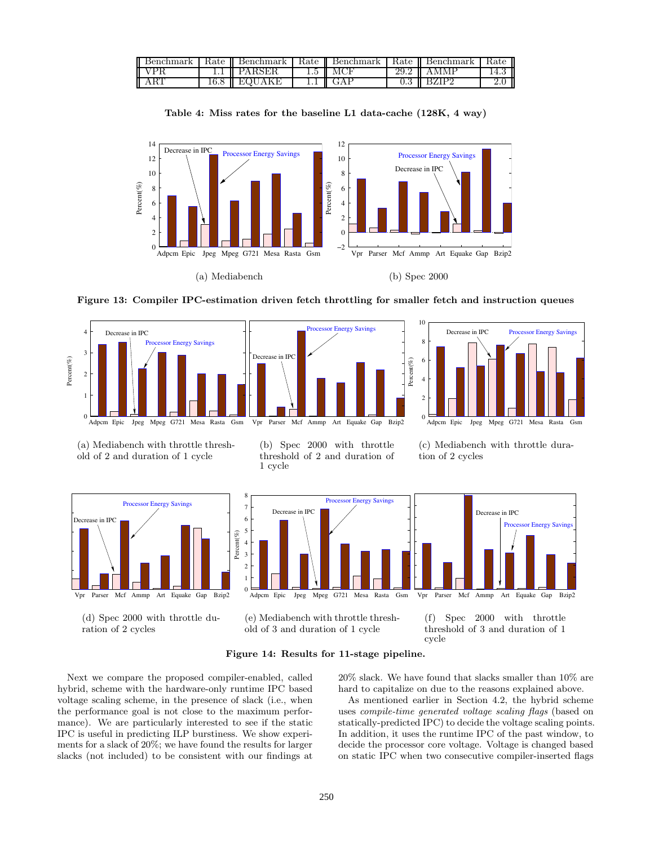| Benchmark   Rate    Benchmark   Rate    Benchmark   Rate    Benchmark   Rate |                            |                                 |  |                |        |
|------------------------------------------------------------------------------|----------------------------|---------------------------------|--|----------------|--------|
| I VPR                                                                        | $1.1$   PARSER   1.5   MCF |                                 |  | 29.2 I AMMP    | 14.3 I |
| $\Box$ ART                                                                   | 16.8    EQUAKE             | $\parallel$ 1.1 $\parallel$ GAP |  | $0.3$    BZIP2 | 2.0 H  |

12 14 Decrease in IPC Processor Energy Savings Processor Energy Saving 12 10 Decrease in IPC 10 8 Percent $(\%)$ Percent $(\%)$ Percent(%) Percent(%) 8 6 6 4 2 4  $\overline{2}$  $\overline{0}$  $\theta$ −2 Vpr Parser Mcf Ammp Art Equake Gap Bzip2 Adpcm Epic Jpeg Mpeg G721 Mesa Rasta Gsm (a) Mediabench (b) Spec 2000

**Table 4: Miss rates for the baseline L1 data-cache (128K, 4 way)**

**Figure 13: Compiler IPC-estimation driven fetch throttling for smaller fetch and instruction queues**





(a) Mediabench with throttle threshold of 2 and duration of 1 cycle



(b) Spec 2000 with throttle threshold of 2 and duration of 1 cycle

(c) Mediabench with throttle duration of 2 cycles



(d) Spec 2000 with throttle duration of 2 cycles

(e) Mediabench with throttle threshold of 3 and duration of 1 cycle

(f) Spec 2000 with throttle threshold of 3 and duration of 1 cycle



Next we compare the proposed compiler-enabled, called hybrid, scheme with the hardware-only runtime IPC based voltage scaling scheme, in the presence of slack (i.e., when the performance goal is not close to the maximum performance). We are particularly interested to see if the static IPC is useful in predicting ILP burstiness. We show experiments for a slack of 20%; we have found the results for larger slacks (not included) to be consistent with our findings at 20% slack. We have found that slacks smaller than 10% are hard to capitalize on due to the reasons explained above.

As mentioned earlier in Section 4.2, the hybrid scheme uses compile-time generated voltage scaling flags (based on statically-predicted IPC) to decide the voltage scaling points. In addition, it uses the runtime IPC of the past window, to decide the processor core voltage. Voltage is changed based on static IPC when two consecutive compiler-inserted flags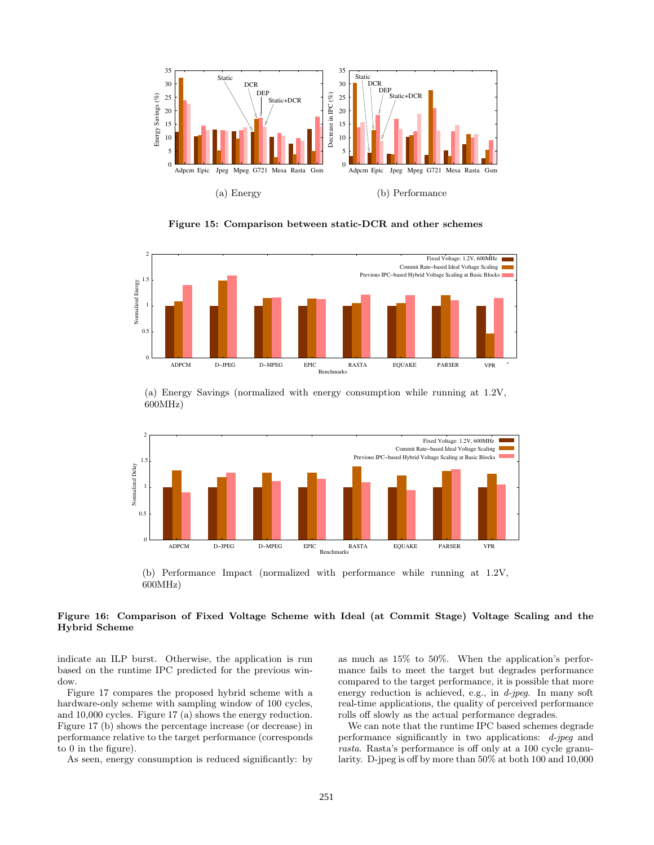

**Figure 15: Comparison between static-DCR and other schemes**



(a) Energy Savings (normalized with energy consumption while running at 1.2V, 600MHz)



(b) Performance Impact (normalized with performance while running at 1.2V, 600MHz)

#### **Figure 16: Comparison of Fixed Voltage Scheme with Ideal (at Commit Stage) Voltage Scaling and the Hybrid Scheme**

indicate an ILP burst. Otherwise, the application is run based on the runtime IPC predicted for the previous window.

Figure 17 compares the proposed hybrid scheme with a hardware-only scheme with sampling window of 100 cycles, and 10,000 cycles. Figure 17 (a) shows the energy reduction. Figure 17 (b) shows the percentage increase (or decrease) in performance relative to the target performance (corresponds to 0 in the figure).

As seen, energy consumption is reduced significantly: by

as much as 15% to 50%. When the application's performance fails to meet the target but degrades performance compared to the target performance, it is possible that more energy reduction is achieved, e.g., in d-jpeg. In many soft real-time applications, the quality of perceived performance rolls off slowly as the actual performance degrades.

We can note that the runtime IPC based schemes degrade performance significantly in two applications: d-jpeg and rasta. Rasta's performance is off only at a 100 cycle granularity. D-jpeg is off by more than 50% at both 100 and 10,000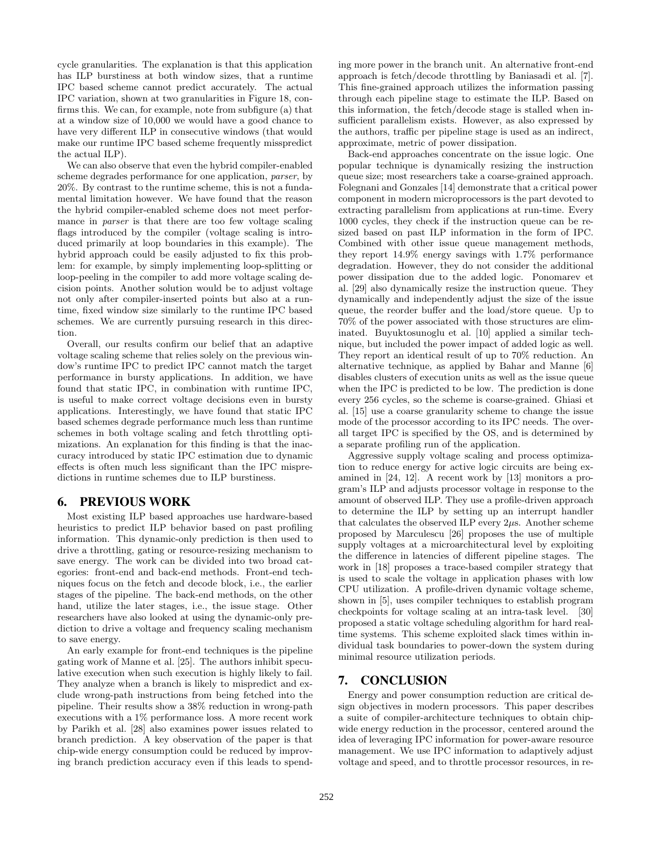cycle granularities. The explanation is that this application has ILP burstiness at both window sizes, that a runtime IPC based scheme cannot predict accurately. The actual IPC variation, shown at two granularities in Figure 18, confirms this. We can, for example, note from subfigure (a) that at a window size of 10,000 we would have a good chance to have very different ILP in consecutive windows (that would make our runtime IPC based scheme frequently misspredict the actual ILP).

We can also observe that even the hybrid compiler-enabled scheme degrades performance for one application, parser, by 20%. By contrast to the runtime scheme, this is not a fundamental limitation however. We have found that the reason the hybrid compiler-enabled scheme does not meet performance in parser is that there are too few voltage scaling flags introduced by the compiler (voltage scaling is introduced primarily at loop boundaries in this example). The hybrid approach could be easily adjusted to fix this problem: for example, by simply implementing loop-splitting or loop-peeling in the compiler to add more voltage scaling decision points. Another solution would be to adjust voltage not only after compiler-inserted points but also at a runtime, fixed window size similarly to the runtime IPC based schemes. We are currently pursuing research in this direction.

Overall, our results confirm our belief that an adaptive voltage scaling scheme that relies solely on the previous window's runtime IPC to predict IPC cannot match the target performance in bursty applications. In addition, we have found that static IPC, in combination with runtime IPC, is useful to make correct voltage decisions even in bursty applications. Interestingly, we have found that static IPC based schemes degrade performance much less than runtime schemes in both voltage scaling and fetch throttling optimizations. An explanation for this finding is that the inaccuracy introduced by static IPC estimation due to dynamic effects is often much less significant than the IPC mispredictions in runtime schemes due to ILP burstiness.

## **6. PREVIOUS WORK**

Most existing ILP based approaches use hardware-based heuristics to predict ILP behavior based on past profiling information. This dynamic-only prediction is then used to drive a throttling, gating or resource-resizing mechanism to save energy. The work can be divided into two broad categories: front-end and back-end methods. Front-end techniques focus on the fetch and decode block, i.e., the earlier stages of the pipeline. The back-end methods, on the other hand, utilize the later stages, i.e., the issue stage. Other researchers have also looked at using the dynamic-only prediction to drive a voltage and frequency scaling mechanism to save energy.

An early example for front-end techniques is the pipeline gating work of Manne et al. [25]. The authors inhibit speculative execution when such execution is highly likely to fail. They analyze when a branch is likely to mispredict and exclude wrong-path instructions from being fetched into the pipeline. Their results show a 38% reduction in wrong-path executions with a 1% performance loss. A more recent work by Parikh et al. [28] also examines power issues related to branch prediction. A key observation of the paper is that chip-wide energy consumption could be reduced by improving branch prediction accuracy even if this leads to spending more power in the branch unit. An alternative front-end approach is fetch/decode throttling by Baniasadi et al. [7]. This fine-grained approach utilizes the information passing through each pipeline stage to estimate the ILP. Based on this information, the fetch/decode stage is stalled when insufficient parallelism exists. However, as also expressed by the authors, traffic per pipeline stage is used as an indirect, approximate, metric of power dissipation.

Back-end approaches concentrate on the issue logic. One popular technique is dynamically resizing the instruction queue size; most researchers take a coarse-grained approach. Folegnani and Gonzales [14] demonstrate that a critical power component in modern microprocessors is the part devoted to extracting parallelism from applications at run-time. Every 1000 cycles, they check if the instruction queue can be resized based on past ILP information in the form of IPC. Combined with other issue queue management methods, they report 14.9% energy savings with 1.7% performance degradation. However, they do not consider the additional power dissipation due to the added logic. Ponomarev et al. [29] also dynamically resize the instruction queue. They dynamically and independently adjust the size of the issue queue, the reorder buffer and the load/store queue. Up to 70% of the power associated with those structures are eliminated. Buyuktosunoglu et al. [10] applied a similar technique, but included the power impact of added logic as well. They report an identical result of up to 70% reduction. An alternative technique, as applied by Bahar and Manne [6] disables clusters of execution units as well as the issue queue when the IPC is predicted to be low. The prediction is done every 256 cycles, so the scheme is coarse-grained. Ghiasi et al. [15] use a coarse granularity scheme to change the issue mode of the processor according to its IPC needs. The overall target IPC is specified by the OS, and is determined by a separate profiling run of the application.

Aggressive supply voltage scaling and process optimization to reduce energy for active logic circuits are being examined in [24, 12]. A recent work by [13] monitors a program's ILP and adjusts processor voltage in response to the amount of observed ILP. They use a profile-driven approach to determine the ILP by setting up an interrupt handler that calculates the observed ILP every 2*µ*s. Another scheme proposed by Marculescu [26] proposes the use of multiple supply voltages at a microarchitectural level by exploiting the difference in latencies of different pipeline stages. The work in [18] proposes a trace-based compiler strategy that is used to scale the voltage in application phases with low CPU utilization. A profile-driven dynamic voltage scheme, shown in [5], uses compiler techniques to establish program checkpoints for voltage scaling at an intra-task level. [30] proposed a static voltage scheduling algorithm for hard realtime systems. This scheme exploited slack times within individual task boundaries to power-down the system during minimal resource utilization periods.

## **7. CONCLUSION**

Energy and power consumption reduction are critical design objectives in modern processors. This paper describes a suite of compiler-architecture techniques to obtain chipwide energy reduction in the processor, centered around the idea of leveraging IPC information for power-aware resource management. We use IPC information to adaptively adjust voltage and speed, and to throttle processor resources, in re-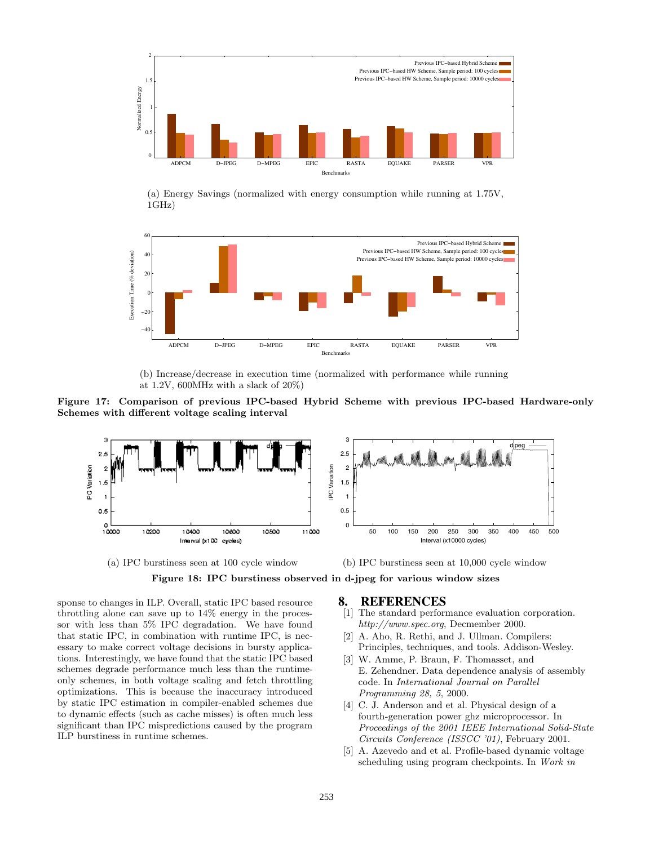

(a) Energy Savings (normalized with energy consumption while running at 1.75V, 1GHz)



(b) Increase/decrease in execution time (normalized with performance while running at 1.2V, 600MHz with a slack of 20%)

**Figure 17: Comparison of previous IPC-based Hybrid Scheme with previous IPC-based Hardware-only Schemes with different voltage scaling interval**



(a) IPC burstiness seen at 100 cycle window



**Figure 18: IPC burstiness observed in d-jpeg for various window sizes**

sponse to changes in ILP. Overall, static IPC based resource throttling alone can save up to 14% energy in the processor with less than 5% IPC degradation. We have found that static IPC, in combination with runtime IPC, is necessary to make correct voltage decisions in bursty applications. Interestingly, we have found that the static IPC based schemes degrade performance much less than the runtimeonly schemes, in both voltage scaling and fetch throttling optimizations. This is because the inaccuracy introduced by static IPC estimation in compiler-enabled schemes due to dynamic effects (such as cache misses) is often much less significant than IPC mispredictions caused by the program ILP burstiness in runtime schemes.

#### **8. REFERENCES**

- [1] The standard performance evaluation corporation. http://www.spec.org, Decmember 2000.
- [2] A. Aho, R. Rethi, and J. Ullman. Compilers: Principles, techniques, and tools. Addison-Wesley.
- [3] W. Amme, P. Braun, F. Thomasset, and E. Zehendner. Data dependence analysis of assembly code. In International Journal on Parallel Programming 28, 5, 2000.
- [4] C. J. Anderson and et al. Physical design of a fourth-generation power ghz microprocessor. In Proceedings of the 2001 IEEE International Solid-State Circuits Conference (ISSCC '01), February 2001.
- [5] A. Azevedo and et al. Profile-based dynamic voltage scheduling using program checkpoints. In Work in